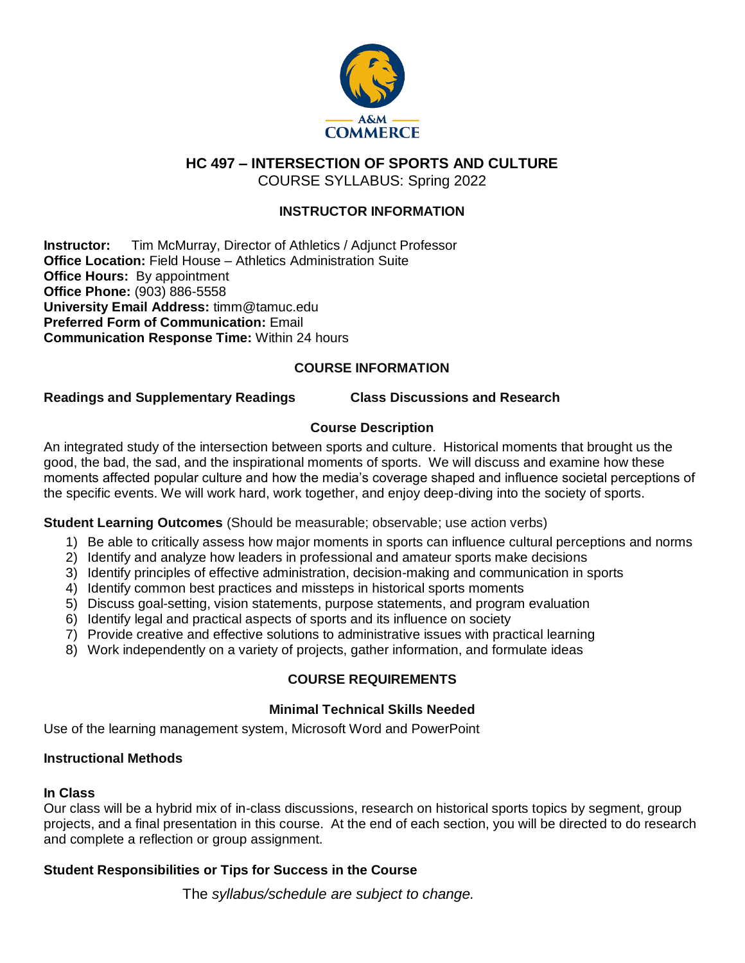

**HC 497 – INTERSECTION OF SPORTS AND CULTURE**

COURSE SYLLABUS: Spring 2022

## **INSTRUCTOR INFORMATION**

**Instructor:** Tim McMurray, Director of Athletics / Adjunct Professor **Office Location:** Field House – Athletics Administration Suite **Office Hours: By appointment Office Phone:** (903) 886-5558 **University Email Address:** timm@tamuc.edu **Preferred Form of Communication:** Email **Communication Response Time:** Within 24 hours

## **COURSE INFORMATION**

#### **Readings and Supplementary Readings Class Discussions and Research**

## **Course Description**

An integrated study of the intersection between sports and culture. Historical moments that brought us the good, the bad, the sad, and the inspirational moments of sports. We will discuss and examine how these moments affected popular culture and how the media's coverage shaped and influence societal perceptions of the specific events. We will work hard, work together, and enjoy deep-diving into the society of sports.

## **Student Learning Outcomes** (Should be measurable; observable; use action verbs)

- 1) Be able to critically assess how major moments in sports can influence cultural perceptions and norms
- 2) Identify and analyze how leaders in professional and amateur sports make decisions
- 3) Identify principles of effective administration, decision-making and communication in sports
- 4) Identify common best practices and missteps in historical sports moments
- 5) Discuss goal-setting, vision statements, purpose statements, and program evaluation
- 6) Identify legal and practical aspects of sports and its influence on society
- 7) Provide creative and effective solutions to administrative issues with practical learning
- 8) Work independently on a variety of projects, gather information, and formulate ideas

## **COURSE REQUIREMENTS**

## **Minimal Technical Skills Needed**

Use of the learning management system, Microsoft Word and PowerPoint

#### **Instructional Methods**

#### **In Class**

Our class will be a hybrid mix of in-class discussions, research on historical sports topics by segment, group projects, and a final presentation in this course. At the end of each section, you will be directed to do research and complete a reflection or group assignment.

## **Student Responsibilities or Tips for Success in the Course**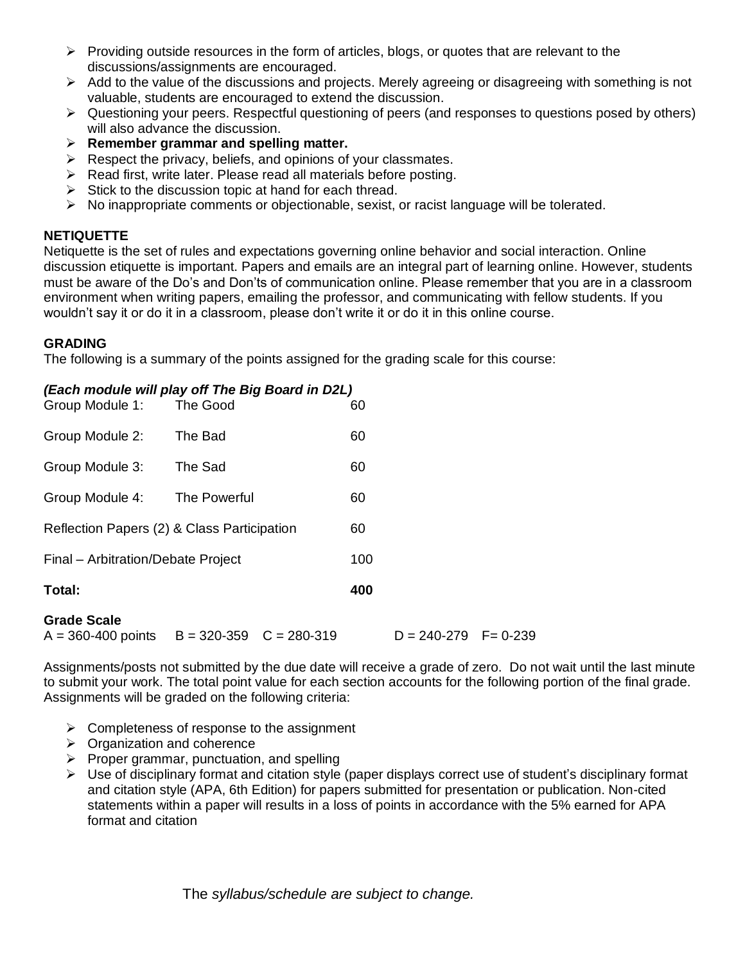- $\triangleright$  Providing outside resources in the form of articles, blogs, or quotes that are relevant to the discussions/assignments are encouraged.
- $\triangleright$  Add to the value of the discussions and projects. Merely agreeing or disagreeing with something is not valuable, students are encouraged to extend the discussion.
- $\triangleright$  Questioning your peers. Respectful questioning of peers (and responses to questions posed by others) will also advance the discussion.
- **Remember grammar and spelling matter.**
- $\triangleright$  Respect the privacy, beliefs, and opinions of your classmates.
- $\triangleright$  Read first, write later. Please read all materials before posting.
- $\triangleright$  Stick to the discussion topic at hand for each thread.
- $\triangleright$  No inappropriate comments or objectionable, sexist, or racist language will be tolerated.

## **NETIQUETTE**

Netiquette is the set of rules and expectations governing online behavior and social interaction. Online discussion etiquette is important. Papers and emails are an integral part of learning online. However, students must be aware of the Do's and Don'ts of communication online. Please remember that you are in a classroom environment when writing papers, emailing the professor, and communicating with fellow students. If you wouldn't say it or do it in a classroom, please don't write it or do it in this online course.

## **GRADING**

The following is a summary of the points assigned for the grading scale for this course:

#### *(Each module will play off The Big Board in D2L)*

| <b>Grade Scale</b>                          |              |     |
|---------------------------------------------|--------------|-----|
| Total:                                      |              | 400 |
| Final - Arbitration/Debate Project          |              | 100 |
| Reflection Papers (2) & Class Participation |              | 60  |
| Group Module 4:                             | The Powerful | 60  |
| Group Module 3:                             | The Sad      | 60  |
| Group Module 2:                             | The Bad      | 60  |
| Group Module 1:                             | The Good     | 60  |

#### **Grade Scale**

 $A = 360-400$  points  $B = 320-359$   $C = 280-319$   $D = 240-279$   $F = 0-239$ 

Assignments/posts not submitted by the due date will receive a grade of zero. Do not wait until the last minute to submit your work. The total point value for each section accounts for the following portion of the final grade. Assignments will be graded on the following criteria:

- $\triangleright$  Completeness of response to the assignment
- $\triangleright$  Organization and coherence
- $\triangleright$  Proper grammar, punctuation, and spelling
- $\triangleright$  Use of disciplinary format and citation style (paper displays correct use of student's disciplinary format and citation style (APA, 6th Edition) for papers submitted for presentation or publication. Non-cited statements within a paper will results in a loss of points in accordance with the 5% earned for APA format and citation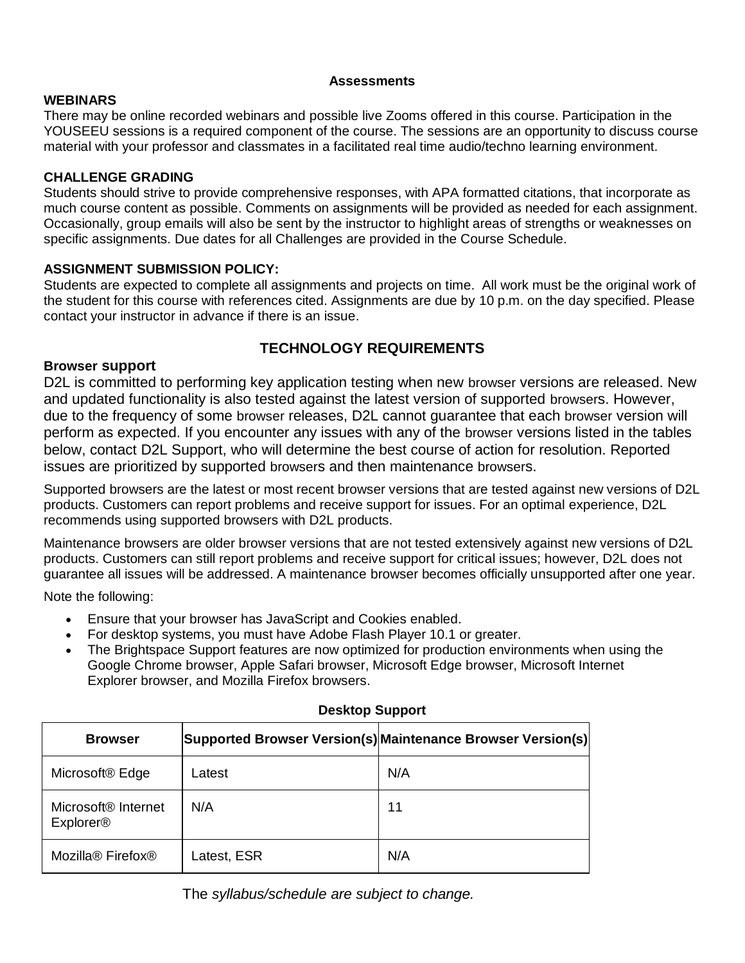#### **Assessments**

# **WEBINARS**

There may be online recorded webinars and possible live Zooms offered in this course. Participation in the YOUSEEU sessions is a required component of the course. The sessions are an opportunity to discuss course material with your professor and classmates in a facilitated real time audio/techno learning environment.

## **CHALLENGE GRADING**

Students should strive to provide comprehensive responses, with APA formatted citations, that incorporate as much course content as possible. Comments on assignments will be provided as needed for each assignment. Occasionally, group emails will also be sent by the instructor to highlight areas of strengths or weaknesses on specific assignments. Due dates for all Challenges are provided in the Course Schedule.

## **ASSIGNMENT SUBMISSION POLICY:**

Students are expected to complete all assignments and projects on time. All work must be the original work of the student for this course with references cited. Assignments are due by 10 p.m. on the day specified. Please contact your instructor in advance if there is an issue.

# **TECHNOLOGY REQUIREMENTS**

## **Browser support**

D2L is committed to performing key application testing when new browser versions are released. New and updated functionality is also tested against the latest version of supported browsers. However, due to the frequency of some browser releases, D2L cannot guarantee that each browser version will perform as expected. If you encounter any issues with any of the browser versions listed in the tables below, contact D2L Support, who will determine the best course of action for resolution. Reported issues are prioritized by supported browsers and then maintenance browsers.

Supported browsers are the latest or most recent browser versions that are tested against new versions of D2L products. Customers can report problems and receive support for issues. For an optimal experience, D2L recommends using supported browsers with D2L products.

Maintenance browsers are older browser versions that are not tested extensively against new versions of D2L products. Customers can still report problems and receive support for critical issues; however, D2L does not guarantee all issues will be addressed. A maintenance browser becomes officially unsupported after one year.

Note the following:

- Ensure that your browser has JavaScript and Cookies enabled.
- For desktop systems, you must have Adobe Flash Player 10.1 or greater.
- The Brightspace Support features are now optimized for production environments when using the Google Chrome browser, Apple Safari browser, Microsoft Edge browser, Microsoft Internet Explorer browser, and Mozilla Firefox browsers.

| <b>Browser</b>                                                 |             | Supported Browser Version(s) Maintenance Browser Version(s) |
|----------------------------------------------------------------|-------------|-------------------------------------------------------------|
| Microsoft <sup>®</sup> Edge                                    | Latest      | N/A                                                         |
| Microsoft <sup>®</sup> Internet<br><b>Explorer<sup>®</sup></b> | N/A         | 11                                                          |
| Mozilla <sup>®</sup> Firefox <sup>®</sup>                      | Latest, ESR | N/A                                                         |

## **Desktop Support**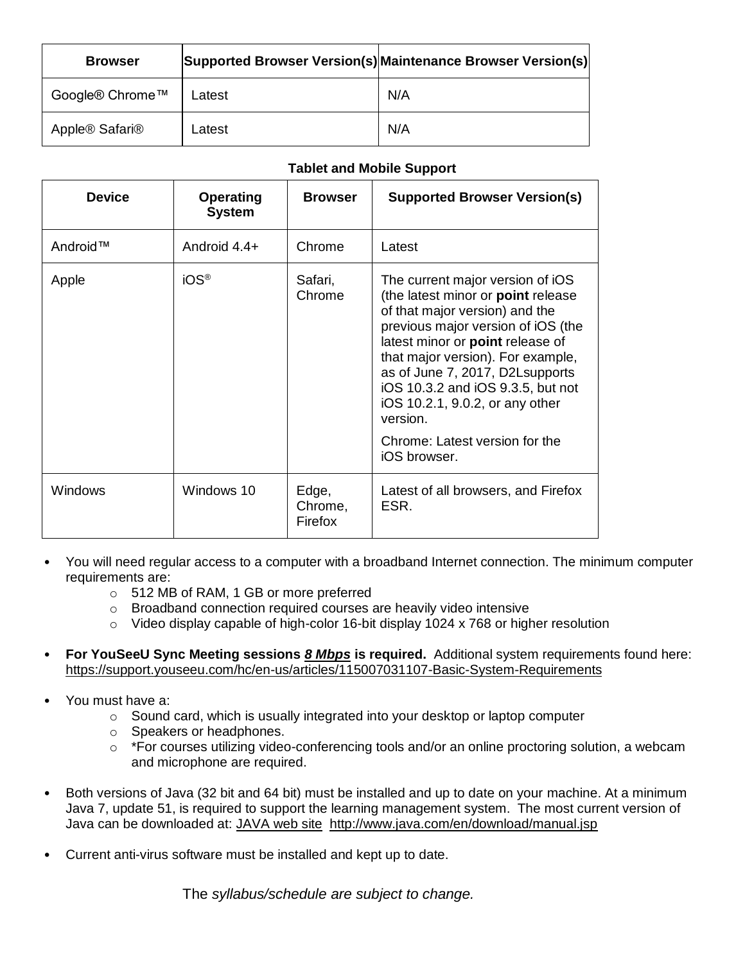| <b>Browser</b>  |        | Supported Browser Version(s) Maintenance Browser Version(s) |
|-----------------|--------|-------------------------------------------------------------|
| Google® Chrome™ | Latest | N/A                                                         |
| Apple® Safari®  | Latest | N/A                                                         |

# **Tablet and Mobile Support**

| <b>Device</b> | <b>Operating</b><br><b>System</b> | <b>Browser</b>              | <b>Supported Browser Version(s)</b>                                                                                                                                                                                                                                                                                                                                                              |
|---------------|-----------------------------------|-----------------------------|--------------------------------------------------------------------------------------------------------------------------------------------------------------------------------------------------------------------------------------------------------------------------------------------------------------------------------------------------------------------------------------------------|
| Android™      | Android 4.4+                      | Chrome                      | Latest                                                                                                                                                                                                                                                                                                                                                                                           |
| Apple         | $iOS^{\circledR}$                 | Safari,<br>Chrome           | The current major version of iOS<br>(the latest minor or point release<br>of that major version) and the<br>previous major version of iOS (the<br>latest minor or point release of<br>that major version). For example,<br>as of June 7, 2017, D2Lsupports<br>iOS 10.3.2 and iOS 9.3.5, but not<br>iOS 10.2.1, 9.0.2, or any other<br>version.<br>Chrome: Latest version for the<br>iOS browser. |
| Windows       | Windows 10                        | Edge,<br>Chrome,<br>Firefox | Latest of all browsers, and Firefox<br>ESR.                                                                                                                                                                                                                                                                                                                                                      |

- You will need regular access to a computer with a broadband Internet connection. The minimum computer requirements are:
	- o 512 MB of RAM, 1 GB or more preferred
	- o Broadband connection required courses are heavily video intensive
	- o Video display capable of high-color 16-bit display 1024 x 768 or higher resolution
- **For YouSeeU Sync Meeting sessions** *8 Mbps* **is required.** Additional system requirements found here: <https://support.youseeu.com/hc/en-us/articles/115007031107-Basic-System-Requirements>
- You must have a:
	- o Sound card, which is usually integrated into your desktop or laptop computer
	- o Speakers or headphones.
	- o \*For courses utilizing video-conferencing tools and/or an online proctoring solution, a webcam and microphone are required.
- Both versions of Java (32 bit and 64 bit) must be installed and up to date on your machine. At a minimum Java 7, update 51, is required to support the learning management system. The most current version of Java can be downloaded at: [JAVA web site http://www.java.com/en/download/manual.jsp](http://www.java.com/en/download/manual.jsp)
- Current anti-virus software must be installed and kept up to date.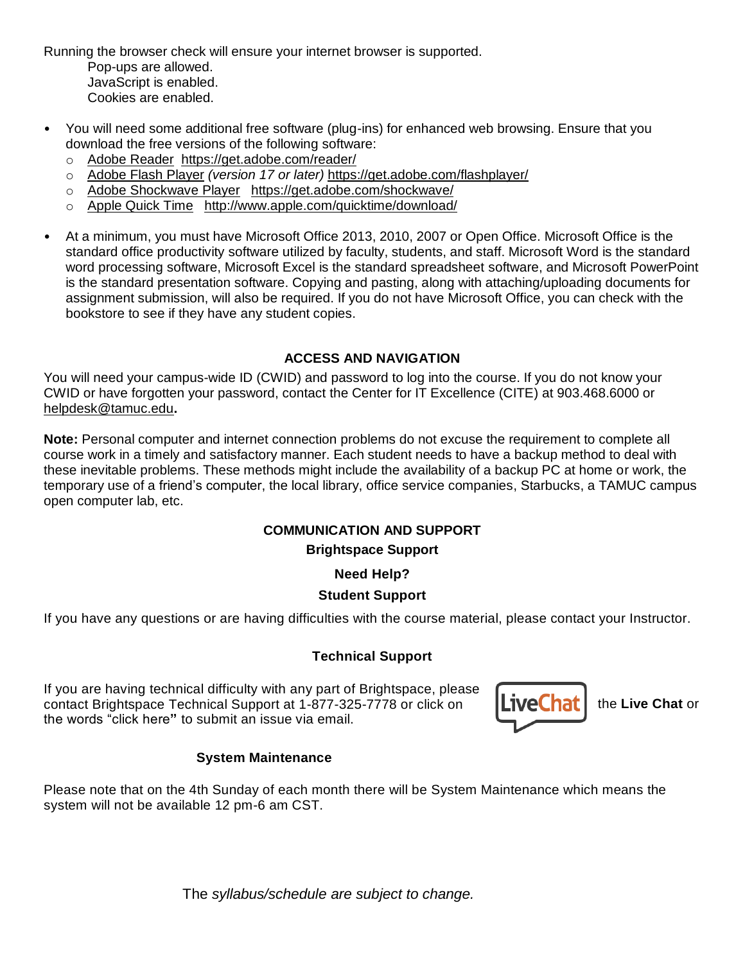Running the browser check will ensure your internet browser is supported.

Pop-ups are allowed. JavaScript is enabled. Cookies are enabled.

- You will need some additional free software (plug-ins) for enhanced web browsing. Ensure that you download the free versions of the following software:
	- o [Adobe Reader https://get.adobe.com/reader/](https://get.adobe.com/reader/)
	- o [Adobe Flash Player](https://get.adobe.com/flashplayer/) *(version 17 or later)* <https://get.adobe.com/flashplayer/>
	- o [Adobe Shockwave Player https://get.adobe.com/shockwave/](https://get.adobe.com/shockwave/)
	- o [Apple Quick Time http://www.apple.com/quicktime/download/](http://www.apple.com/quicktime/download/)
- At a minimum, you must have Microsoft Office 2013, 2010, 2007 or Open Office. Microsoft Office is the standard office productivity software utilized by faculty, students, and staff. Microsoft Word is the standard word processing software, Microsoft Excel is the standard spreadsheet software, and Microsoft PowerPoint is the standard presentation software. Copying and pasting, along with attaching/uploading documents for assignment submission, will also be required. If you do not have Microsoft Office, you can check with the bookstore to see if they have any student copies.

# **ACCESS AND NAVIGATION**

You will need your campus-wide ID (CWID) and password to log into the course. If you do not know your CWID or have forgotten your password, contact the Center for IT Excellence (CITE) at 903.468.6000 or [helpdesk@tamuc.edu](mailto:helpdesk@tamuc.edu)**.**

**Note:** Personal computer and internet connection problems do not excuse the requirement to complete all course work in a timely and satisfactory manner. Each student needs to have a backup method to deal with these inevitable problems. These methods might include the availability of a backup PC at home or work, the temporary use of a friend's computer, the local library, office service companies, Starbucks, a TAMUC campus open computer lab, etc.

# **COMMUNICATION AND SUPPORT**

# **Brightspace Support**

**Need Help?**

# **Student Support**

If you have any questions or are having difficulties with the course material, please contact your Instructor.

# **Technical Support**

If you are having technical difficulty with any part of Brightspace, please contact Brightspace Technical Support at 1-877-325-7778 or click on **Live Chat** if the Live Chat or the words "click here**"** to submit an issue via email.



# **System Maintenance**

Please note that on the 4th Sunday of each month there will be System Maintenance which means the system will not be available 12 pm-6 am CST.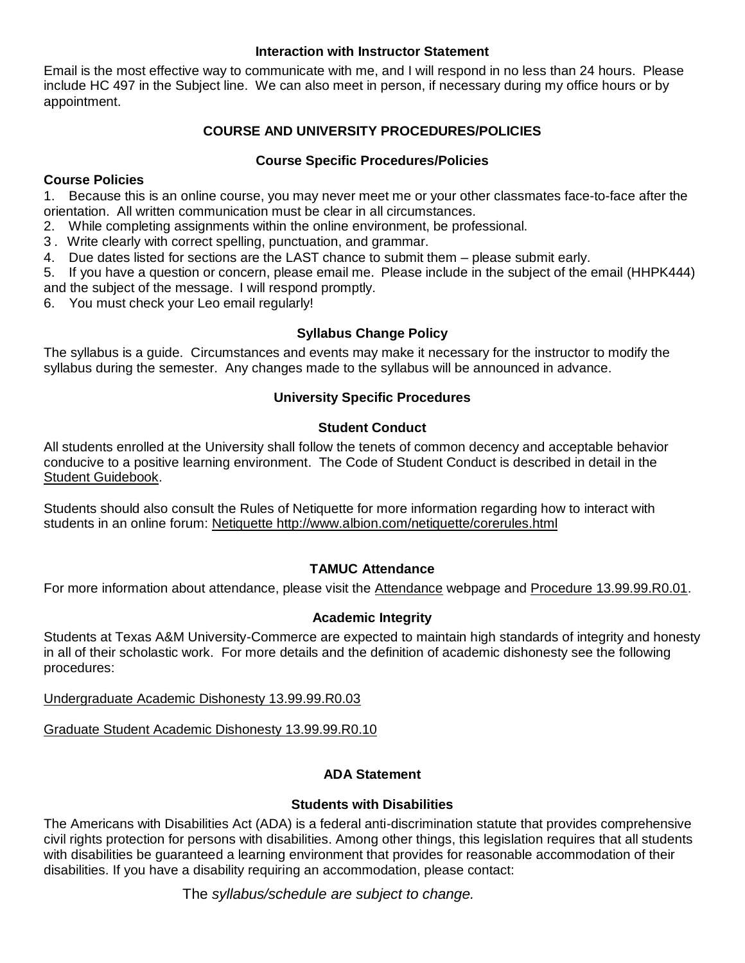## **Interaction with Instructor Statement**

Email is the most effective way to communicate with me, and I will respond in no less than 24 hours. Please include HC 497 in the Subject line. We can also meet in person, if necessary during my office hours or by appointment.

# **COURSE AND UNIVERSITY PROCEDURES/POLICIES**

## **Course Specific Procedures/Policies**

# **Course Policies**

1. Because this is an online course, you may never meet me or your other classmates face-to-face after the orientation. All written communication must be clear in all circumstances.

- 2. While completing assignments within the online environment, be professional.
- 3 . Write clearly with correct spelling, punctuation, and grammar.
- 4. Due dates listed for sections are the LAST chance to submit them please submit early.

5. If you have a question or concern, please email me. Please include in the subject of the email (HHPK444) and the subject of the message. I will respond promptly.

6. You must check your Leo email regularly!

# **Syllabus Change Policy**

The syllabus is a guide. Circumstances and events may make it necessary for the instructor to modify the syllabus during the semester. Any changes made to the syllabus will be announced in advance.

## **University Specific Procedures**

## **Student Conduct**

All students enrolled at the University shall follow the tenets of common decency and acceptable behavior conducive to a positive learning environment. The Code of Student Conduct is described in detail in the [Student Guidebook.](http://www.tamuc.edu/Admissions/oneStopShop/undergraduateAdmissions/studentGuidebook.aspx)

Students should also consult the Rules of Netiquette for more information regarding how to interact with students in an online forum: [Netiquette](http://www.albion.com/netiquette/corerules.html) <http://www.albion.com/netiquette/corerules.html>

## **TAMUC Attendance**

For more information about attendance, please visit the [Attendance](http://www.tamuc.edu/admissions/registrar/generalInformation/attendance.aspx) webpage and [Procedure 13.99.99.R0.01.](http://www.tamuc.edu/aboutUs/policiesProceduresStandardsStatements/rulesProcedures/13students/academic/13.99.99.R0.01.pdf)

# **Academic Integrity**

Students at Texas A&M University-Commerce are expected to maintain high standards of integrity and honesty in all of their scholastic work. For more details and the definition of academic dishonesty see the following procedures:

[Undergraduate Academic Dishonesty 13.99.99.R0.03](http://www.tamuc.edu/aboutUs/policiesProceduresStandardsStatements/rulesProcedures/13students/undergraduates/13.99.99.R0.03UndergraduateAcademicDishonesty.pdf)

[Graduate Student Academic Dishonesty 13.99.99.R0.10](http://www.tamuc.edu/aboutUs/policiesProceduresStandardsStatements/rulesProcedures/13students/graduate/13.99.99.R0.10GraduateStudentAcademicDishonesty.pdf)

# **ADA Statement**

## **Students with Disabilities**

The Americans with Disabilities Act (ADA) is a federal anti-discrimination statute that provides comprehensive civil rights protection for persons with disabilities. Among other things, this legislation requires that all students with disabilities be guaranteed a learning environment that provides for reasonable accommodation of their disabilities. If you have a disability requiring an accommodation, please contact: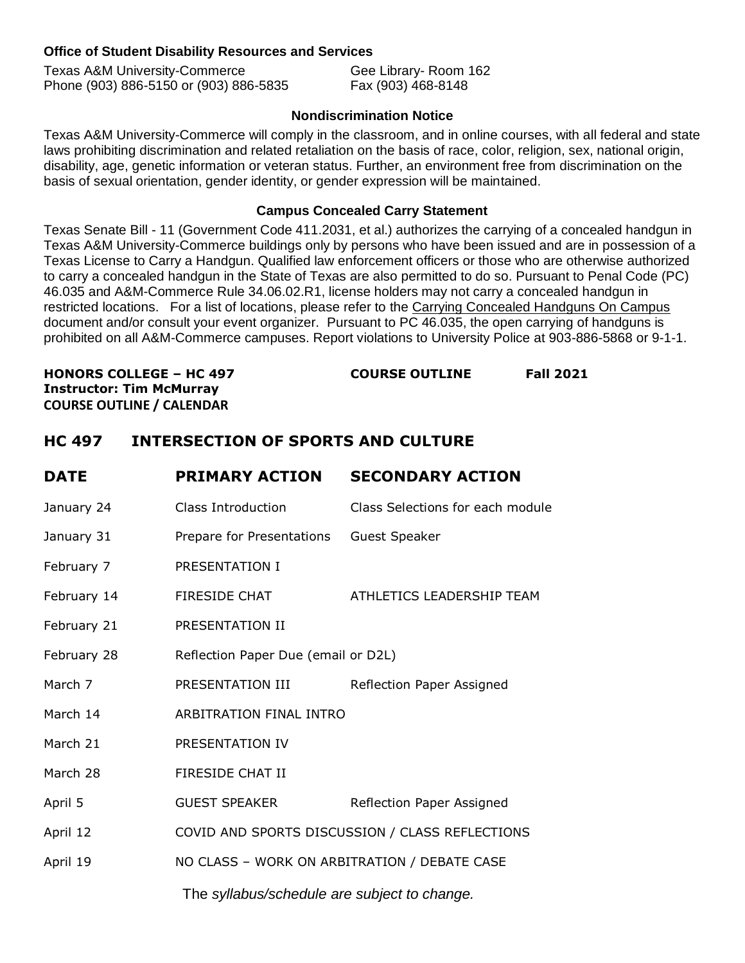## **Office of Student Disability Resources and Services**

| <b>Texas A&amp;M University-Commerce</b> | Gee Library-Room 162 |
|------------------------------------------|----------------------|
| Phone (903) 886-5150 or (903) 886-5835   | Fax (903) 468-8148   |

## **Nondiscrimination Notice**

Texas A&M University-Commerce will comply in the classroom, and in online courses, with all federal and state laws prohibiting discrimination and related retaliation on the basis of race, color, religion, sex, national origin, disability, age, genetic information or veteran status. Further, an environment free from discrimination on the basis of sexual orientation, gender identity, or gender expression will be maintained.

#### **Campus Concealed Carry Statement**

Texas Senate Bill - 11 (Government Code 411.2031, et al.) authorizes the carrying of a concealed handgun in Texas A&M University-Commerce buildings only by persons who have been issued and are in possession of a Texas License to Carry a Handgun. Qualified law enforcement officers or those who are otherwise authorized to carry a concealed handgun in the State of Texas are also permitted to do so. Pursuant to Penal Code (PC) 46.035 and A&M-Commerce Rule 34.06.02.R1, license holders may not carry a concealed handgun in restricted locations. For a list of locations, please refer to the [Carrying Concealed Handguns On Campus](http://www.tamuc.edu/aboutUs/policiesProceduresStandardsStatements/rulesProcedures/34SafetyOfEmployeesAndStudents/34.06.02.R1.pdf) document and/or consult your event organizer. Pursuant to PC 46.035, the open carrying of handguns is prohibited on all A&M-Commerce campuses. Report violations to University Police at 903-886-5868 or 9-1-1.

**HONORS COLLEGE – HC 497 COURSE OUTLINE Fall 2021 Instructor: Tim McMurray COURSE OUTLINE / CALENDAR** 

# **HC 497 INTERSECTION OF SPORTS AND CULTURE**

| <b>DATE</b> | <b>PRIMARY ACTION</b>                           | <b>SECONDARY ACTION</b>          |
|-------------|-------------------------------------------------|----------------------------------|
| January 24  | <b>Class Introduction</b>                       | Class Selections for each module |
| January 31  | Prepare for Presentations                       | Guest Speaker                    |
| February 7  | PRESENTATION I                                  |                                  |
| February 14 | <b>FIRESIDE CHAT</b>                            | ATHLETICS LEADERSHIP TEAM        |
| February 21 | PRESENTATION II                                 |                                  |
| February 28 | Reflection Paper Due (email or D2L)             |                                  |
| March 7     | PRESENTATION III                                | Reflection Paper Assigned        |
| March 14    | ARBITRATION FINAL INTRO                         |                                  |
| March 21    | PRESENTATION IV                                 |                                  |
| March 28    | <b>FIRESIDE CHAT II</b>                         |                                  |
| April 5     | <b>GUEST SPEAKER</b>                            | Reflection Paper Assigned        |
| April 12    | COVID AND SPORTS DISCUSSION / CLASS REFLECTIONS |                                  |
| April 19    | NO CLASS - WORK ON ARBITRATION / DEBATE CASE    |                                  |
|             | The syllabus/schedule are subject to change.    |                                  |